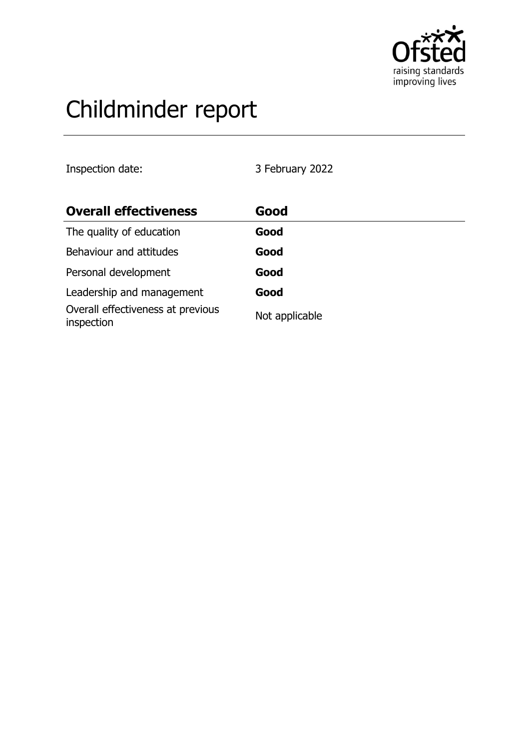

# Childminder report

Inspection date: 3 February 2022

| <b>Overall effectiveness</b>                    | Good           |
|-------------------------------------------------|----------------|
| The quality of education                        | Good           |
| Behaviour and attitudes                         | Good           |
| Personal development                            | Good           |
| Leadership and management                       | Good           |
| Overall effectiveness at previous<br>inspection | Not applicable |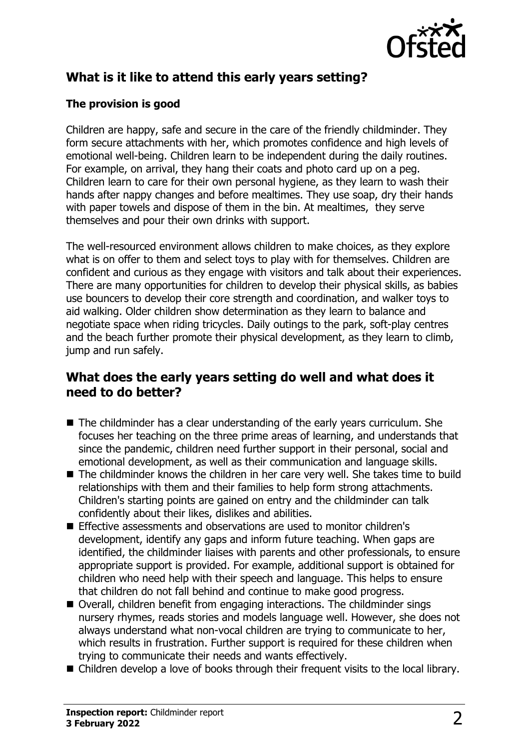

## **What is it like to attend this early years setting?**

#### **The provision is good**

Children are happy, safe and secure in the care of the friendly childminder. They form secure attachments with her, which promotes confidence and high levels of emotional well-being. Children learn to be independent during the daily routines. For example, on arrival, they hang their coats and photo card up on a peg. Children learn to care for their own personal hygiene, as they learn to wash their hands after nappy changes and before mealtimes. They use soap, dry their hands with paper towels and dispose of them in the bin. At mealtimes, they serve themselves and pour their own drinks with support.

The well-resourced environment allows children to make choices, as they explore what is on offer to them and select toys to play with for themselves. Children are confident and curious as they engage with visitors and talk about their experiences. There are many opportunities for children to develop their physical skills, as babies use bouncers to develop their core strength and coordination, and walker toys to aid walking. Older children show determination as they learn to balance and negotiate space when riding tricycles. Daily outings to the park, soft-play centres and the beach further promote their physical development, as they learn to climb, jump and run safely.

### **What does the early years setting do well and what does it need to do better?**

- $\blacksquare$  The childminder has a clear understanding of the early years curriculum. She focuses her teaching on the three prime areas of learning, and understands that since the pandemic, children need further support in their personal, social and emotional development, as well as their communication and language skills.
- $\blacksquare$  The childminder knows the children in her care very well. She takes time to build relationships with them and their families to help form strong attachments. Children's starting points are gained on entry and the childminder can talk confidently about their likes, dislikes and abilities.
- n Effective assessments and observations are used to monitor children's development, identify any gaps and inform future teaching. When gaps are identified, the childminder liaises with parents and other professionals, to ensure appropriate support is provided. For example, additional support is obtained for children who need help with their speech and language. This helps to ensure that children do not fall behind and continue to make good progress.
- Overall, children benefit from engaging interactions. The childminder sings nursery rhymes, reads stories and models language well. However, she does not always understand what non-vocal children are trying to communicate to her, which results in frustration. Further support is required for these children when trying to communicate their needs and wants effectively.
- $\blacksquare$  Children develop a love of books through their frequent visits to the local library.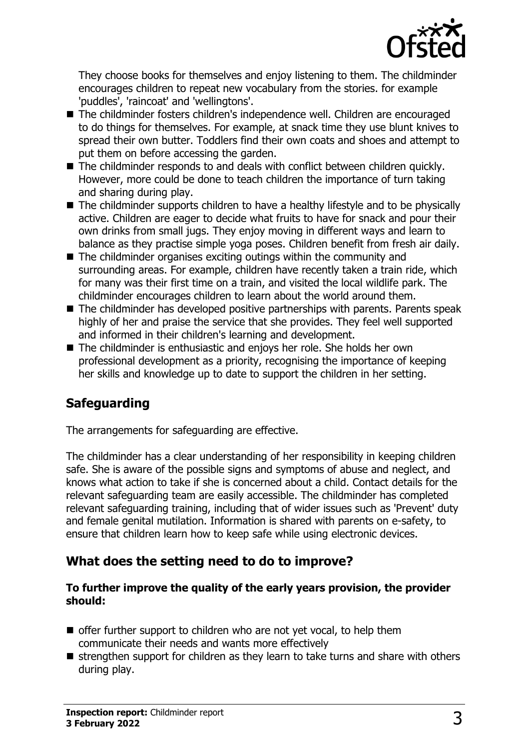

They choose books for themselves and enjoy listening to them. The childminder encourages children to repeat new vocabulary from the stories. for example 'puddles', 'raincoat' and 'wellingtons'.

- The childminder fosters children's independence well. Children are encouraged to do things for themselves. For example, at snack time they use blunt knives to spread their own butter. Toddlers find their own coats and shoes and attempt to put them on before accessing the garden.
- $\blacksquare$  The childminder responds to and deals with conflict between children quickly. However, more could be done to teach children the importance of turn taking and sharing during play.
- $\blacksquare$  The childminder supports children to have a healthy lifestyle and to be physically active. Children are eager to decide what fruits to have for snack and pour their own drinks from small jugs. They enjoy moving in different ways and learn to balance as they practise simple yoga poses. Children benefit from fresh air daily.
- $\blacksquare$  The childminder organises exciting outings within the community and surrounding areas. For example, children have recently taken a train ride, which for many was their first time on a train, and visited the local wildlife park. The childminder encourages children to learn about the world around them.
- $\blacksquare$  The childminder has developed positive partnerships with parents. Parents speak highly of her and praise the service that she provides. They feel well supported and informed in their children's learning and development.
- The childminder is enthusiastic and enjoys her role. She holds her own professional development as a priority, recognising the importance of keeping her skills and knowledge up to date to support the children in her setting.

# **Safeguarding**

The arrangements for safeguarding are effective.

The childminder has a clear understanding of her responsibility in keeping children safe. She is aware of the possible signs and symptoms of abuse and neglect, and knows what action to take if she is concerned about a child. Contact details for the relevant safeguarding team are easily accessible. The childminder has completed relevant safeguarding training, including that of wider issues such as 'Prevent' duty and female genital mutilation. Information is shared with parents on e-safety, to ensure that children learn how to keep safe while using electronic devices.

### **What does the setting need to do to improve?**

#### **To further improve the quality of the early years provision, the provider should:**

- $\blacksquare$  offer further support to children who are not yet vocal, to help them communicate their needs and wants more effectively
- $\blacksquare$  strengthen support for children as they learn to take turns and share with others during play.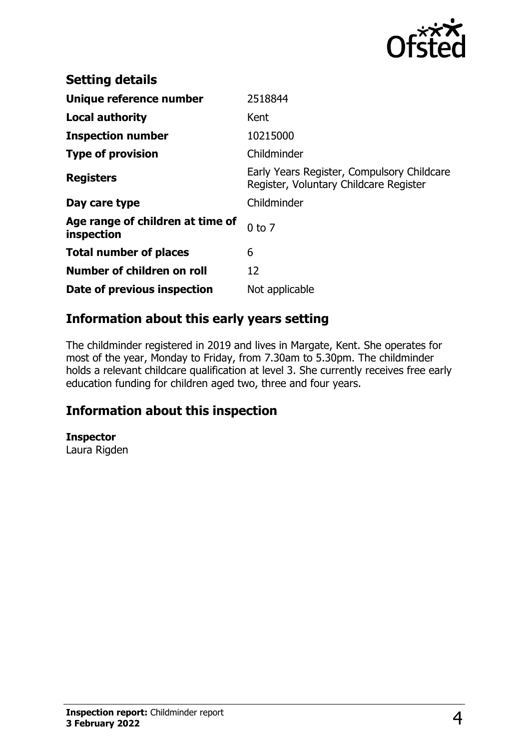

| <b>Setting details</b>                         |                                                                                      |
|------------------------------------------------|--------------------------------------------------------------------------------------|
| Unique reference number                        | 2518844                                                                              |
| <b>Local authority</b>                         | Kent                                                                                 |
| <b>Inspection number</b>                       | 10215000                                                                             |
| <b>Type of provision</b>                       | Childminder                                                                          |
| <b>Registers</b>                               | Early Years Register, Compulsory Childcare<br>Register, Voluntary Childcare Register |
| Day care type                                  | Childminder                                                                          |
| Age range of children at time of<br>inspection | $0$ to $7$                                                                           |
| <b>Total number of places</b>                  | 6                                                                                    |
| Number of children on roll                     | 12                                                                                   |
| Date of previous inspection                    | Not applicable                                                                       |

## **Information about this early years setting**

The childminder registered in 2019 and lives in Margate, Kent. She operates for most of the year, Monday to Friday, from 7.30am to 5.30pm. The childminder holds a relevant childcare qualification at level 3. She currently receives free early education funding for children aged two, three and four years.

### **Information about this inspection**

**Inspector**

Laura Rigden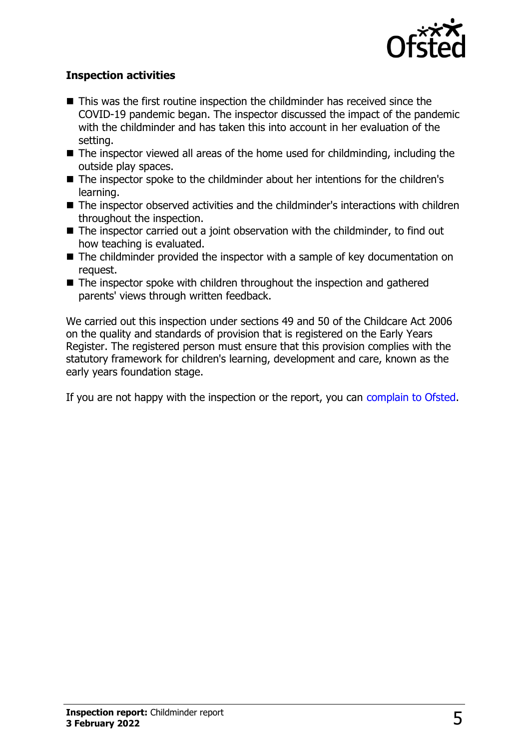

#### **Inspection activities**

- $\blacksquare$  This was the first routine inspection the childminder has received since the COVID-19 pandemic began. The inspector discussed the impact of the pandemic with the childminder and has taken this into account in her evaluation of the setting.
- $\blacksquare$  The inspector viewed all areas of the home used for childminding, including the outside play spaces.
- The inspector spoke to the childminder about her intentions for the children's learning.
- The inspector observed activities and the childminder's interactions with children throughout the inspection.
- $\blacksquare$  The inspector carried out a joint observation with the childminder, to find out how teaching is evaluated.
- $\blacksquare$  The childminder provided the inspector with a sample of key documentation on request.
- $\blacksquare$  The inspector spoke with children throughout the inspection and gathered parents' views through written feedback.

We carried out this inspection under sections 49 and 50 of the Childcare Act 2006 on the quality and standards of provision that is registered on the Early Years Register. The registered person must ensure that this provision complies with the statutory framework for children's learning, development and care, known as the early years foundation stage.

If you are not happy with the inspection or the report, you can [complain to Ofsted](http://www.gov.uk/complain-ofsted-report).